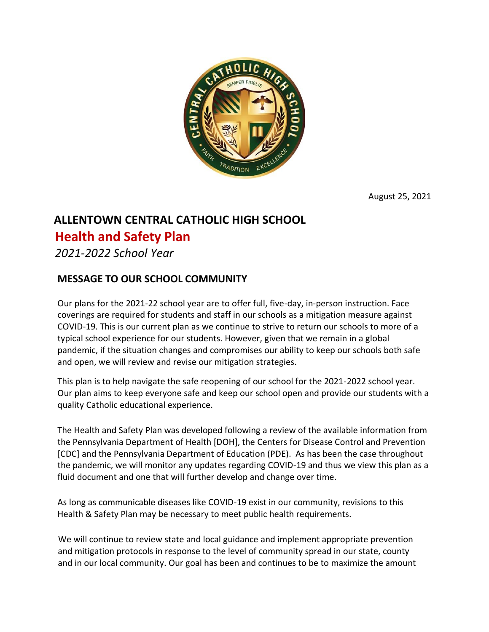

August 25, 2021

## **ALLENTOWN CENTRAL CATHOLIC HIGH SCHOOL**

## **Health and Safety Plan**

*2021-2022 School Year*

## **MESSAGE TO OUR SCHOOL COMMUNITY**

Our plans for the 2021-22 school year are to offer full, five-day, in-person instruction. Face coverings are required for students and staff in our schools as a mitigation measure against COVID-19. This is our current plan as we continue to strive to return our schools to more of a typical school experience for our students. However, given that we remain in a global pandemic, if the situation changes and compromises our ability to keep our schools both safe and open, we will review and revise our mitigation strategies.

This plan is to help navigate the safe reopening of our school for the 2021-2022 school year. Our plan aims to keep everyone safe and keep our school open and provide our students with a quality Catholic educational experience.

The Health and Safety Plan was developed following a review of the available information from the Pennsylvania Department of Health [DOH], the Centers for Disease Control and Prevention [CDC] and the Pennsylvania Department of Education (PDE). As has been the case throughout the pandemic, we will monitor any updates regarding COVID-19 and thus we view this plan as a fluid document and one that will further develop and change over time.

As long as communicable diseases like COVID-19 exist in our community, revisions to this Health & Safety Plan may be necessary to meet public health requirements.

We will continue to review state and local guidance and implement appropriate prevention and mitigation protocols in response to the level of community spread in our state, county and in our local community. Our goal has been and continues to be to maximize the amount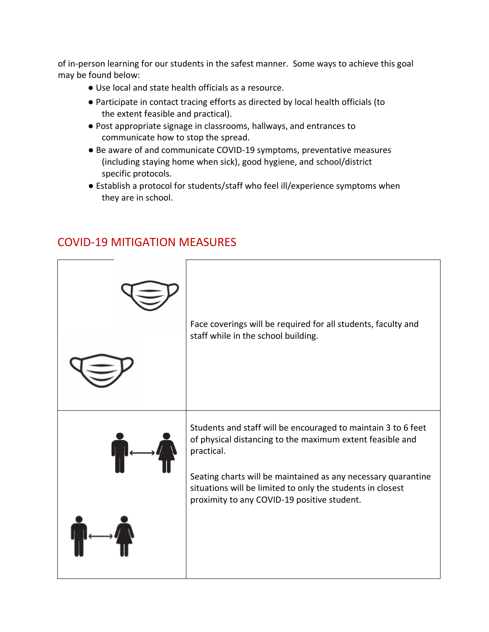of in-person learning for our students in the safest manner. Some ways to achieve this goal may be found below:

- Use local and state health officials as a resource.
- Participate in contact tracing efforts as directed by local health officials (to the extent feasible and practical).
- Post appropriate signage in classrooms, hallways, and entrances to communicate how to stop the spread.
- Be aware of and communicate COVID-19 symptoms, preventative measures (including staying home when sick), good hygiene, and school/district specific protocols.
- Establish a protocol for students/staff who feel ill/experience symptoms when they are in school.



## COVID-19 MITIGATION MEASURES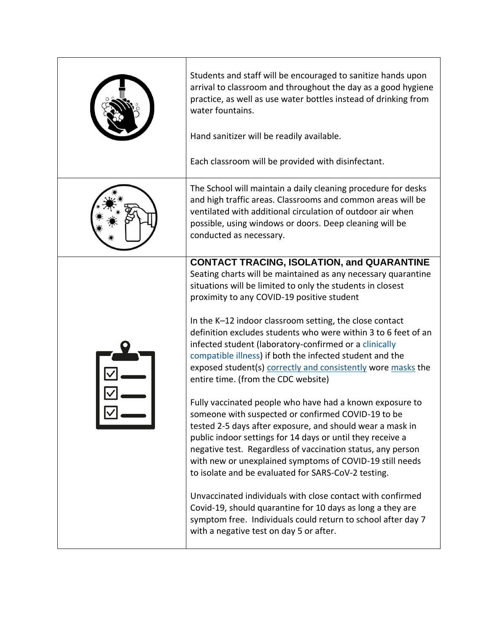| Students and staff will be encouraged to sanitize hands upon<br>arrival to classroom and throughout the day as a good hygiene<br>practice, as well as use water bottles instead of drinking from<br>water fountains.<br>Hand sanitizer will be readily available.<br>Each classroom will be provided with disinfectant.                                                                                                                                                                                                                                                                                                                                                                                                                                                                                                                                                                                                                                                                                                                                                                                                                                                                                                                                        |
|----------------------------------------------------------------------------------------------------------------------------------------------------------------------------------------------------------------------------------------------------------------------------------------------------------------------------------------------------------------------------------------------------------------------------------------------------------------------------------------------------------------------------------------------------------------------------------------------------------------------------------------------------------------------------------------------------------------------------------------------------------------------------------------------------------------------------------------------------------------------------------------------------------------------------------------------------------------------------------------------------------------------------------------------------------------------------------------------------------------------------------------------------------------------------------------------------------------------------------------------------------------|
| The School will maintain a daily cleaning procedure for desks<br>and high traffic areas. Classrooms and common areas will be<br>ventilated with additional circulation of outdoor air when<br>possible, using windows or doors. Deep cleaning will be<br>conducted as necessary.                                                                                                                                                                                                                                                                                                                                                                                                                                                                                                                                                                                                                                                                                                                                                                                                                                                                                                                                                                               |
| <b>CONTACT TRACING, ISOLATION, and QUARANTINE</b><br>Seating charts will be maintained as any necessary quarantine<br>situations will be limited to only the students in closest<br>proximity to any COVID-19 positive student<br>In the K-12 indoor classroom setting, the close contact<br>definition excludes students who were within 3 to 6 feet of an<br>infected student (laboratory-confirmed or a clinically<br>compatible illness) if both the infected student and the<br>exposed student(s) correctly and consistently wore masks the<br>entire time. (from the CDC website)<br>Fully vaccinated people who have had a known exposure to<br>someone with suspected or confirmed COVID-19 to be<br>tested 2-5 days after exposure, and should wear a mask in<br>public indoor settings for 14 days or until they receive a<br>negative test. Regardless of vaccination status, any person<br>with new or unexplained symptoms of COVID-19 still needs<br>to isolate and be evaluated for SARS-CoV-2 testing.<br>Unvaccinated individuals with close contact with confirmed<br>Covid-19, should quarantine for 10 days as long a they are<br>symptom free. Individuals could return to school after day 7<br>with a negative test on day 5 or after. |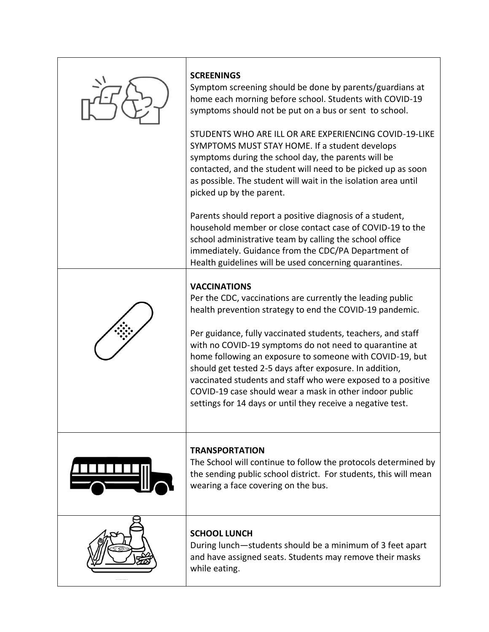| <b>SCREENINGS</b><br>Symptom screening should be done by parents/guardians at<br>home each morning before school. Students with COVID-19<br>symptoms should not be put on a bus or sent to school.<br>STUDENTS WHO ARE ILL OR ARE EXPERIENCING COVID-19-LIKE<br>SYMPTOMS MUST STAY HOME. If a student develops<br>symptoms during the school day, the parents will be<br>contacted, and the student will need to be picked up as soon<br>as possible. The student will wait in the isolation area until<br>picked up by the parent.<br>Parents should report a positive diagnosis of a student,<br>household member or close contact case of COVID-19 to the<br>school administrative team by calling the school office<br>immediately. Guidance from the CDC/PA Department of<br>Health guidelines will be used concerning quarantines. |
|------------------------------------------------------------------------------------------------------------------------------------------------------------------------------------------------------------------------------------------------------------------------------------------------------------------------------------------------------------------------------------------------------------------------------------------------------------------------------------------------------------------------------------------------------------------------------------------------------------------------------------------------------------------------------------------------------------------------------------------------------------------------------------------------------------------------------------------|
| <b>VACCINATIONS</b><br>Per the CDC, vaccinations are currently the leading public<br>health prevention strategy to end the COVID-19 pandemic.<br>Per guidance, fully vaccinated students, teachers, and staff<br>with no COVID-19 symptoms do not need to quarantine at<br>home following an exposure to someone with COVID-19, but<br>should get tested 2-5 days after exposure. In addition,<br>vaccinated students and staff who were exposed to a positive<br>COVID-19 case should wear a mask in other indoor public<br>settings for 14 days or until they receive a negative test.                                                                                                                                                                                                                                                 |
| <b>TRANSPORTATION</b><br>The School will continue to follow the protocols determined by<br>the sending public school district. For students, this will mean<br>wearing a face covering on the bus.                                                                                                                                                                                                                                                                                                                                                                                                                                                                                                                                                                                                                                       |
| <b>SCHOOL LUNCH</b><br>During lunch—students should be a minimum of 3 feet apart<br>and have assigned seats. Students may remove their masks<br>while eating.                                                                                                                                                                                                                                                                                                                                                                                                                                                                                                                                                                                                                                                                            |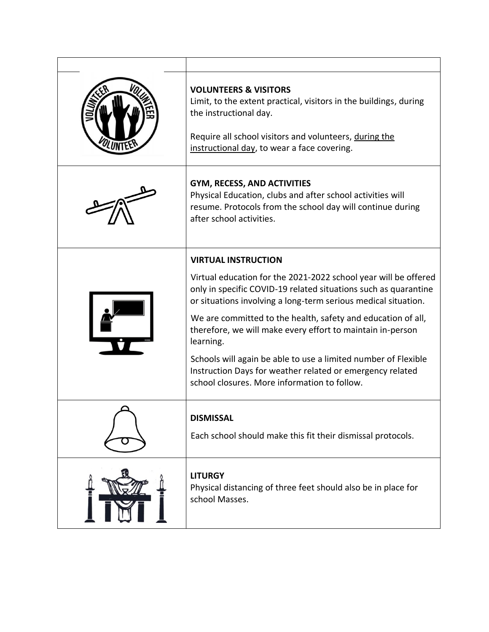|  | <b>VOLUNTEERS &amp; VISITORS</b><br>Limit, to the extent practical, visitors in the buildings, during<br>the instructional day.<br>Require all school visitors and volunteers, during the<br>instructional day, to wear a face covering. |
|--|------------------------------------------------------------------------------------------------------------------------------------------------------------------------------------------------------------------------------------------|
|  | <b>GYM, RECESS, AND ACTIVITIES</b><br>Physical Education, clubs and after school activities will<br>resume. Protocols from the school day will continue during<br>after school activities.                                               |
|  | <b>VIRTUAL INSTRUCTION</b>                                                                                                                                                                                                               |
|  | Virtual education for the 2021-2022 school year will be offered<br>only in specific COVID-19 related situations such as quarantine<br>or situations involving a long-term serious medical situation.                                     |
|  | We are committed to the health, safety and education of all,<br>therefore, we will make every effort to maintain in-person<br>learning.                                                                                                  |
|  | Schools will again be able to use a limited number of Flexible<br>Instruction Days for weather related or emergency related<br>school closures. More information to follow.                                                              |
|  | <b>DISMISSAL</b><br>Each school should make this fit their dismissal protocols.                                                                                                                                                          |
|  | <b>LITURGY</b><br>Physical distancing of three feet should also be in place for<br>school Masses.                                                                                                                                        |